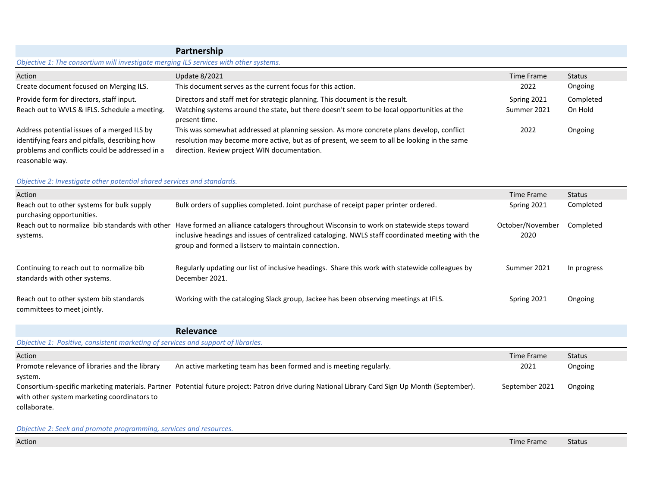|                                                                                                                                                                    | Partnership                                                                                                                                                                                                                              |             |           |  |  |
|--------------------------------------------------------------------------------------------------------------------------------------------------------------------|------------------------------------------------------------------------------------------------------------------------------------------------------------------------------------------------------------------------------------------|-------------|-----------|--|--|
| Objective 1: The consortium will investigate merging ILS services with other systems.                                                                              |                                                                                                                                                                                                                                          |             |           |  |  |
| Action                                                                                                                                                             | <b>Update 8/2021</b>                                                                                                                                                                                                                     | Time Frame  | Status    |  |  |
| Create document focused on Merging ILS.                                                                                                                            | This document serves as the current focus for this action.                                                                                                                                                                               | 2022        | Ongoing   |  |  |
| Provide form for directors, staff input.                                                                                                                           | Directors and staff met for strategic planning. This document is the result.                                                                                                                                                             | Spring 2021 | Completed |  |  |
| Reach out to WVLS & IFLS. Schedule a meeting.                                                                                                                      | Watching systems around the state, but there doesn't seem to be local opportunities at the<br>present time.                                                                                                                              | Summer 2021 | On Hold   |  |  |
| Address potential issues of a merged ILS by<br>identifying fears and pitfalls, describing how<br>problems and conflicts could be addressed in a<br>reasonable way. | This was somewhat addressed at planning session. As more concrete plans develop, conflict<br>resolution may become more active, but as of present, we seem to all be looking in the same<br>direction. Review project WIN documentation. | 2022        | Ongoing   |  |  |

## *Objective 2: Investigate other potential shared services and standards.*

| Action                                                                    |                                                                                                                                                                                                                                                                                                      | Time Frame               | Status      |
|---------------------------------------------------------------------------|------------------------------------------------------------------------------------------------------------------------------------------------------------------------------------------------------------------------------------------------------------------------------------------------------|--------------------------|-------------|
| Reach out to other systems for bulk supply<br>purchasing opportunities.   | Bulk orders of supplies completed. Joint purchase of receipt paper printer ordered.                                                                                                                                                                                                                  | Spring 2021              | Completed   |
| systems.                                                                  | Reach out to normalize bib standards with other Have formed an alliance catalogers throughout Wisconsin to work on statewide steps toward<br>inclusive headings and issues of centralized cataloging. NWLS staff coordinated meeting with the<br>group and formed a listsery to maintain connection. | October/November<br>2020 | Completed   |
| Continuing to reach out to normalize bib<br>standards with other systems. | Regularly updating our list of inclusive headings. Share this work with statewide colleagues by<br>December 2021.                                                                                                                                                                                    | Summer 2021              | In progress |
| Reach out to other system bib standards<br>committees to meet jointly.    | Working with the cataloging Slack group, Jackee has been observing meetings at IFLS.                                                                                                                                                                                                                 | Spring 2021              | Ongoing     |

|                                                                                   | <b>Relevance</b>                                                                                                                                |                |         |
|-----------------------------------------------------------------------------------|-------------------------------------------------------------------------------------------------------------------------------------------------|----------------|---------|
| Objective 1: Positive, consistent marketing of services and support of libraries. |                                                                                                                                                 |                |         |
| Action                                                                            |                                                                                                                                                 | Time Frame     | Status  |
| Promote relevance of libraries and the library                                    | An active marketing team has been formed and is meeting regularly.                                                                              | 2021           | Ongoing |
| system.                                                                           |                                                                                                                                                 |                |         |
|                                                                                   | Consortium-specific marketing materials. Partner Potential future project: Patron drive during National Library Card Sign Up Month (September). | September 2021 | Ongoing |
| with other system marketing coordinators to                                       |                                                                                                                                                 |                |         |
| collaborate.                                                                      |                                                                                                                                                 |                |         |

*Objective 2: Seek and promote programming, services and resources.*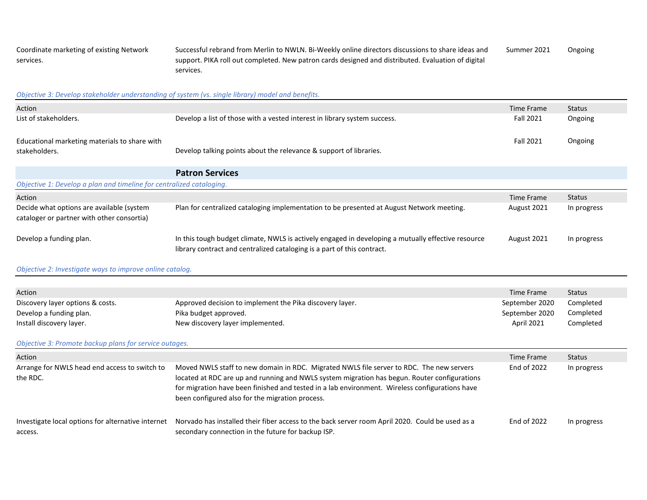Coordinate marketing of existing Network services. Successful rebrand from Merlin to NWLN. Bi-Weekly online directors discussions to share ideas and support. PIKA roll out completed. New patron cards designed and distributed. Evaluation of digital services. Summer 2021 Ongoing

#### *Objective 3: Develop stakeholder understanding of system (vs. single library) model and benefits.*

| Action                                                                                  |                                                                                                                                                                                                                                                                                                                                               | <b>Time Frame</b> | <b>Status</b> |  |  |
|-----------------------------------------------------------------------------------------|-----------------------------------------------------------------------------------------------------------------------------------------------------------------------------------------------------------------------------------------------------------------------------------------------------------------------------------------------|-------------------|---------------|--|--|
| List of stakeholders.                                                                   | Develop a list of those with a vested interest in library system success.                                                                                                                                                                                                                                                                     | <b>Fall 2021</b>  | Ongoing       |  |  |
| Educational marketing materials to share with<br>stakeholders.                          | Develop talking points about the relevance & support of libraries.                                                                                                                                                                                                                                                                            | <b>Fall 2021</b>  | Ongoing       |  |  |
|                                                                                         | <b>Patron Services</b>                                                                                                                                                                                                                                                                                                                        |                   |               |  |  |
| Objective 1: Develop a plan and timeline for centralized cataloging.                    |                                                                                                                                                                                                                                                                                                                                               |                   |               |  |  |
| Action                                                                                  |                                                                                                                                                                                                                                                                                                                                               | Time Frame        | <b>Status</b> |  |  |
| Decide what options are available (system<br>cataloger or partner with other consortia) | Plan for centralized cataloging implementation to be presented at August Network meeting.                                                                                                                                                                                                                                                     | August 2021       | In progress   |  |  |
| Develop a funding plan.                                                                 | In this tough budget climate, NWLS is actively engaged in developing a mutually effective resource<br>library contract and centralized cataloging is a part of this contract.                                                                                                                                                                 | August 2021       | In progress   |  |  |
| Objective 2: Investigate ways to improve online catalog.                                |                                                                                                                                                                                                                                                                                                                                               |                   |               |  |  |
|                                                                                         |                                                                                                                                                                                                                                                                                                                                               |                   |               |  |  |
|                                                                                         |                                                                                                                                                                                                                                                                                                                                               |                   |               |  |  |
| Action                                                                                  |                                                                                                                                                                                                                                                                                                                                               | <b>Time Frame</b> | <b>Status</b> |  |  |
| Discovery layer options & costs.                                                        | Approved decision to implement the Pika discovery layer.                                                                                                                                                                                                                                                                                      | September 2020    | Completed     |  |  |
| Develop a funding plan.                                                                 | Pika budget approved.                                                                                                                                                                                                                                                                                                                         | September 2020    | Completed     |  |  |
| Install discovery layer.                                                                | New discovery layer implemented.                                                                                                                                                                                                                                                                                                              | April 2021        | Completed     |  |  |
| Objective 3: Promote backup plans for service outages.                                  |                                                                                                                                                                                                                                                                                                                                               |                   |               |  |  |
| Action                                                                                  |                                                                                                                                                                                                                                                                                                                                               | Time Frame        | <b>Status</b> |  |  |
| Arrange for NWLS head end access to switch to<br>the RDC.                               | Moved NWLS staff to new domain in RDC. Migrated NWLS file server to RDC. The new servers<br>located at RDC are up and running and NWLS system migration has begun. Router configurations<br>for migration have been finished and tested in a lab environment. Wireless configurations have<br>been configured also for the migration process. | End of 2022       | In progress   |  |  |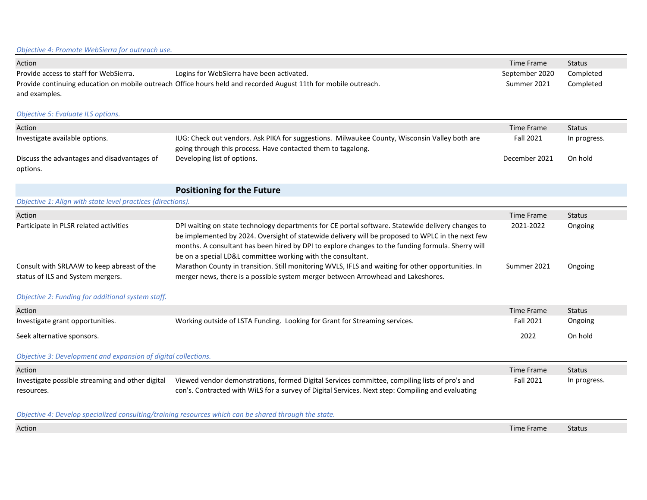### *Objective 4: Promote WebSierra for outreach use.*

| Action                                 |                                                                                                                 | Time Frame     | <b>Status</b> |
|----------------------------------------|-----------------------------------------------------------------------------------------------------------------|----------------|---------------|
| Provide access to staff for WebSierra. | Logins for WebSierra have been activated.                                                                       | September 2020 | Completed     |
|                                        | Provide continuing education on mobile outreach Office hours held and recorded August 11th for mobile outreach. | Summer 2021    | Completed     |
| and examples.                          |                                                                                                                 |                |               |

### *Objective 5: Evaluate ILS options.*

| Action                                      |                                                                                               | Time Frame       | <b>Status</b> |
|---------------------------------------------|-----------------------------------------------------------------------------------------------|------------------|---------------|
| Investigate available options.              | IUG: Check out vendors. Ask PIKA for suggestions. Milwaukee County, Wisconsin Valley both are | <b>Fall 2021</b> | In progress.  |
|                                             | going through this process. Have contacted them to tagalong.                                  |                  |               |
| Discuss the advantages and disadvantages of | Developing list of options.                                                                   | December 2021    | On hold       |
| options.                                    |                                                                                               |                  |               |

# **Positioning for the Future**

| Objective 1: Align with state level practices (directions).                     |                                                                                                                                                                                                                                                                                                                                                                           |             |               |  |
|---------------------------------------------------------------------------------|---------------------------------------------------------------------------------------------------------------------------------------------------------------------------------------------------------------------------------------------------------------------------------------------------------------------------------------------------------------------------|-------------|---------------|--|
| Action                                                                          |                                                                                                                                                                                                                                                                                                                                                                           | Time Frame  | <b>Status</b> |  |
| Participate in PLSR related activities                                          | DPI waiting on state technology departments for CE portal software. Statewide delivery changes to<br>be implemented by 2024. Oversight of statewide delivery will be proposed to WPLC in the next few<br>months. A consultant has been hired by DPI to explore changes to the funding formula. Sherry will<br>be on a special LD&L committee working with the consultant. | 2021-2022   | Ongoing       |  |
| Consult with SRLAAW to keep abreast of the<br>status of ILS and System mergers. | Marathon County in transition. Still monitoring WVLS, IFLS and waiting for other opportunities. In<br>merger news, there is a possible system merger between Arrowhead and Lakeshores.                                                                                                                                                                                    | Summer 2021 | Ongoing       |  |

### *Objective 2: Funding for additional system staff.*

| Action                                                         |                                                                                                                                                                                                    | Time Frame | <b>Status</b> |
|----------------------------------------------------------------|----------------------------------------------------------------------------------------------------------------------------------------------------------------------------------------------------|------------|---------------|
| Investigate grant opportunities.                               | Working outside of LSTA Funding. Looking for Grant for Streaming services.                                                                                                                         | Fall 2021  | Ongoing       |
| Seek alternative sponsors.                                     |                                                                                                                                                                                                    | 2022       | On hold       |
| Objective 3: Development and expansion of digital collections. |                                                                                                                                                                                                    |            |               |
| Action                                                         |                                                                                                                                                                                                    | Time Frame | <b>Status</b> |
| Investigate possible streaming and other digital<br>resources. | Viewed vendor demonstrations, formed Digital Services committee, compiling lists of pro's and<br>con's. Contracted with WiLS for a survey of Digital Services. Next step: Compiling and evaluating | Fall 2021  | In progress.  |

*Objective 4: Develop specialized consulting/training resources which can be shared through the state.*

Action **Time Frame Status (2002)** Status (2003) Action (2003) Status (2003) Status (2003) Status (2003) Status (2003) Status (2003) Status (2003) Status (2003) Status (2003) Status (2003) Status (2003) Status (2003) Status